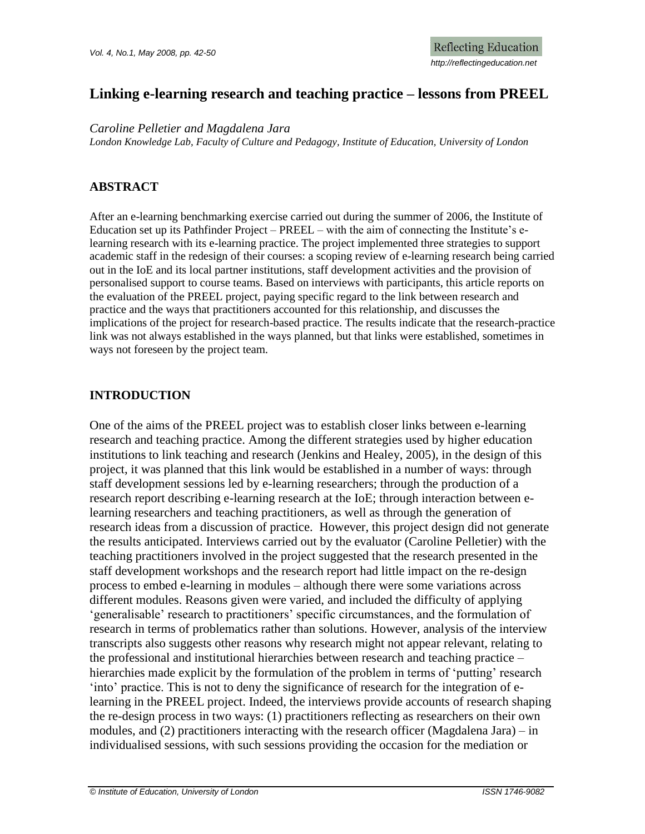# **Linking e-learning research and teaching practice – lessons from PREEL**

*Caroline Pelletier and Magdalena Jara*

*London Knowledge Lab, Faculty of Culture and Pedagogy, Institute of Education, University of London*

## **ABSTRACT**

After an e-learning benchmarking exercise carried out during the summer of 2006, the Institute of Education set up its Pathfinder Project – PREEL – with the aim of connecting the Institute's elearning research with its e-learning practice. The project implemented three strategies to support academic staff in the redesign of their courses: a scoping review of e-learning research being carried out in the IoE and its local partner institutions, staff development activities and the provision of personalised support to course teams. Based on interviews with participants, this article reports on the evaluation of the PREEL project, paying specific regard to the link between research and practice and the ways that practitioners accounted for this relationship, and discusses the implications of the project for research-based practice. The results indicate that the research-practice link was not always established in the ways planned, but that links were established, sometimes in ways not foreseen by the project team.

## **INTRODUCTION**

One of the aims of the PREEL project was to establish closer links between e-learning research and teaching practice. Among the different strategies used by higher education institutions to link teaching and research (Jenkins and Healey, 2005), in the design of this project, it was planned that this link would be established in a number of ways: through staff development sessions led by e-learning researchers; through the production of a research report describing e-learning research at the IoE; through interaction between elearning researchers and teaching practitioners, as well as through the generation of research ideas from a discussion of practice. However, this project design did not generate the results anticipated. Interviews carried out by the evaluator (Caroline Pelletier) with the teaching practitioners involved in the project suggested that the research presented in the staff development workshops and the research report had little impact on the re-design process to embed e-learning in modules – although there were some variations across different modules. Reasons given were varied, and included the difficulty of applying 'generalisable' research to practitioners' specific circumstances, and the formulation of research in terms of problematics rather than solutions. However, analysis of the interview transcripts also suggests other reasons why research might not appear relevant, relating to the professional and institutional hierarchies between research and teaching practice – hierarchies made explicit by the formulation of the problem in terms of 'putting' research 'into' practice. This is not to deny the significance of research for the integration of elearning in the PREEL project. Indeed, the interviews provide accounts of research shaping the re-design process in two ways: (1) practitioners reflecting as researchers on their own modules, and (2) practitioners interacting with the research officer (Magdalena Jara) – in individualised sessions, with such sessions providing the occasion for the mediation or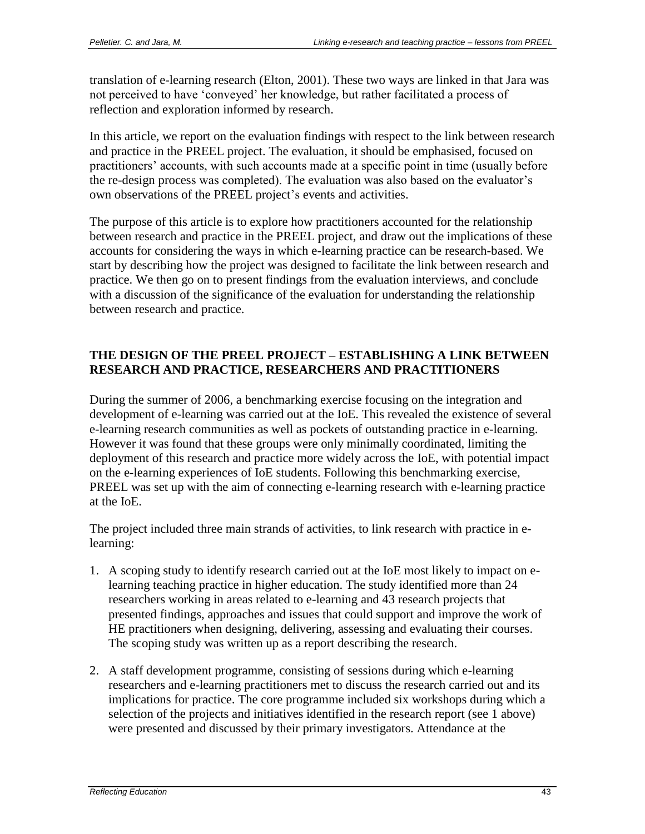translation of e-learning research (Elton, 2001). These two ways are linked in that Jara was not perceived to have 'conveyed' her knowledge, but rather facilitated a process of reflection and exploration informed by research.

In this article, we report on the evaluation findings with respect to the link between research and practice in the PREEL project. The evaluation, it should be emphasised, focused on practitioners' accounts, with such accounts made at a specific point in time (usually before the re-design process was completed). The evaluation was also based on the evaluator's own observations of the PREEL project's events and activities.

The purpose of this article is to explore how practitioners accounted for the relationship between research and practice in the PREEL project, and draw out the implications of these accounts for considering the ways in which e-learning practice can be research-based. We start by describing how the project was designed to facilitate the link between research and practice. We then go on to present findings from the evaluation interviews, and conclude with a discussion of the significance of the evaluation for understanding the relationship between research and practice.

## **THE DESIGN OF THE PREEL PROJECT – ESTABLISHING A LINK BETWEEN RESEARCH AND PRACTICE, RESEARCHERS AND PRACTITIONERS**

During the summer of 2006, a benchmarking exercise focusing on the integration and development of e-learning was carried out at the IoE. This revealed the existence of several e-learning research communities as well as pockets of outstanding practice in e-learning. However it was found that these groups were only minimally coordinated, limiting the deployment of this research and practice more widely across the IoE, with potential impact on the e-learning experiences of IoE students. Following this benchmarking exercise, PREEL was set up with the aim of connecting e-learning research with e-learning practice at the IoE.

The project included three main strands of activities, to link research with practice in elearning:

- 1. A scoping study to identify research carried out at the IoE most likely to impact on elearning teaching practice in higher education. The study identified more than 24 researchers working in areas related to e-learning and 43 research projects that presented findings, approaches and issues that could support and improve the work of HE practitioners when designing, delivering, assessing and evaluating their courses. The scoping study was written up as a report describing the research.
- 2. A staff development programme, consisting of sessions during which e-learning researchers and e-learning practitioners met to discuss the research carried out and its implications for practice. The core programme included six workshops during which a selection of the projects and initiatives identified in the research report (see 1 above) were presented and discussed by their primary investigators. Attendance at the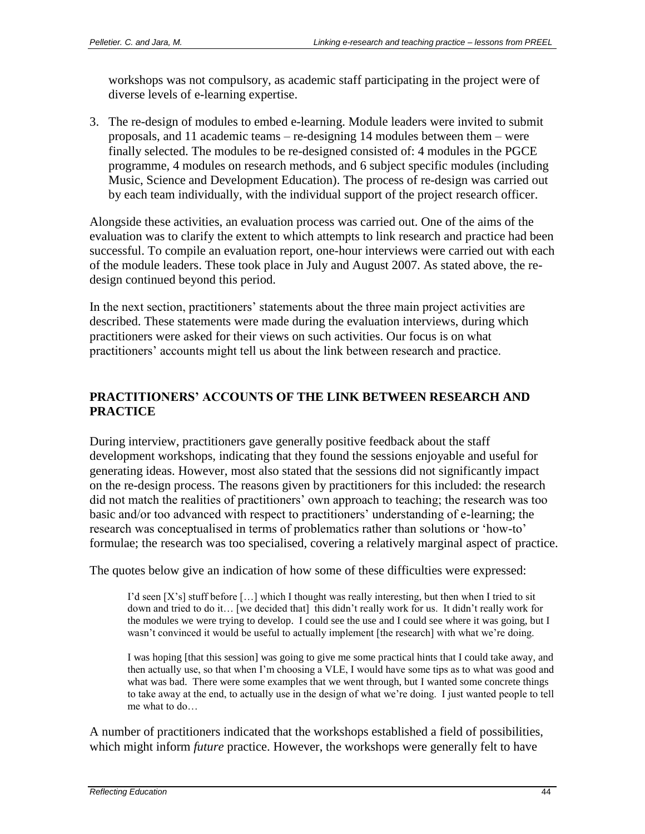workshops was not compulsory, as academic staff participating in the project were of diverse levels of e-learning expertise.

3. The re-design of modules to embed e-learning. Module leaders were invited to submit proposals, and 11 academic teams – re-designing 14 modules between them – were finally selected. The modules to be re-designed consisted of: 4 modules in the PGCE programme, 4 modules on research methods, and 6 subject specific modules (including Music, Science and Development Education). The process of re-design was carried out by each team individually, with the individual support of the project research officer.

Alongside these activities, an evaluation process was carried out. One of the aims of the evaluation was to clarify the extent to which attempts to link research and practice had been successful. To compile an evaluation report, one-hour interviews were carried out with each of the module leaders. These took place in July and August 2007. As stated above, the redesign continued beyond this period.

In the next section, practitioners' statements about the three main project activities are described. These statements were made during the evaluation interviews, during which practitioners were asked for their views on such activities. Our focus is on what practitioners' accounts might tell us about the link between research and practice.

# **PRACTITIONERS' ACCOUNTS OF THE LINK BETWEEN RESEARCH AND PRACTICE**

During interview, practitioners gave generally positive feedback about the staff development workshops, indicating that they found the sessions enjoyable and useful for generating ideas. However, most also stated that the sessions did not significantly impact on the re-design process. The reasons given by practitioners for this included: the research did not match the realities of practitioners' own approach to teaching; the research was too basic and/or too advanced with respect to practitioners' understanding of e-learning; the research was conceptualised in terms of problematics rather than solutions or 'how-to' formulae; the research was too specialised, covering a relatively marginal aspect of practice.

The quotes below give an indication of how some of these difficulties were expressed:

I'd seen [X's] stuff before […] which I thought was really interesting, but then when I tried to sit down and tried to do it… [we decided that] this didn't really work for us. It didn't really work for the modules we were trying to develop. I could see the use and I could see where it was going, but I wasn't convinced it would be useful to actually implement [the research] with what we're doing.

I was hoping [that this session] was going to give me some practical hints that I could take away, and then actually use, so that when I'm choosing a VLE, I would have some tips as to what was good and what was bad. There were some examples that we went through, but I wanted some concrete things to take away at the end, to actually use in the design of what we're doing. I just wanted people to tell me what to do…

A number of practitioners indicated that the workshops established a field of possibilities, which might inform *future* practice. However, the workshops were generally felt to have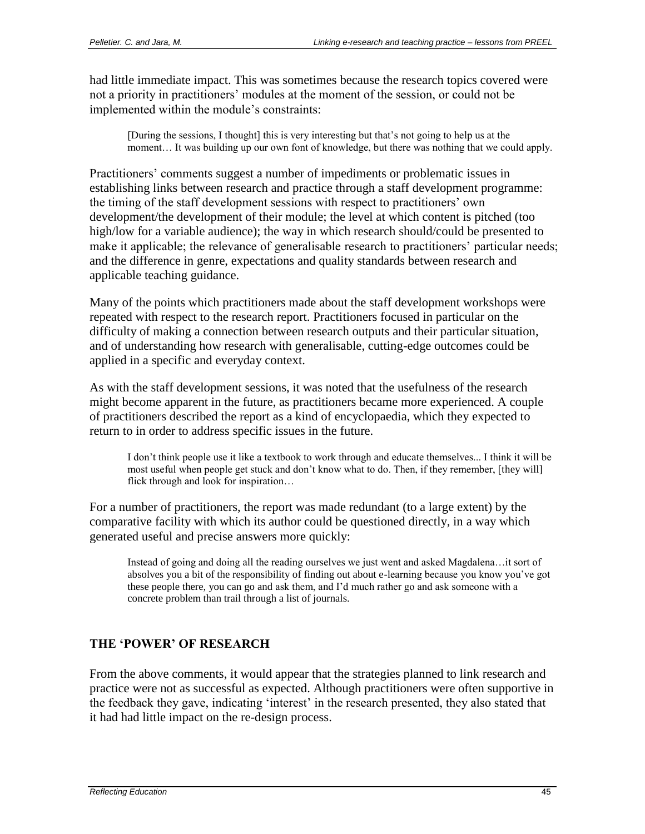had little immediate impact. This was sometimes because the research topics covered were not a priority in practitioners' modules at the moment of the session, or could not be implemented within the module's constraints:

[During the sessions, I thought] this is very interesting but that's not going to help us at the moment… It was building up our own font of knowledge, but there was nothing that we could apply.

Practitioners' comments suggest a number of impediments or problematic issues in establishing links between research and practice through a staff development programme: the timing of the staff development sessions with respect to practitioners' own development/the development of their module; the level at which content is pitched (too high/low for a variable audience); the way in which research should/could be presented to make it applicable; the relevance of generalisable research to practitioners' particular needs; and the difference in genre, expectations and quality standards between research and applicable teaching guidance.

Many of the points which practitioners made about the staff development workshops were repeated with respect to the research report. Practitioners focused in particular on the difficulty of making a connection between research outputs and their particular situation, and of understanding how research with generalisable, cutting-edge outcomes could be applied in a specific and everyday context.

As with the staff development sessions, it was noted that the usefulness of the research might become apparent in the future, as practitioners became more experienced. A couple of practitioners described the report as a kind of encyclopaedia, which they expected to return to in order to address specific issues in the future.

I don't think people use it like a textbook to work through and educate themselves... I think it will be most useful when people get stuck and don't know what to do. Then, if they remember, [they will] flick through and look for inspiration…

For a number of practitioners, the report was made redundant (to a large extent) by the comparative facility with which its author could be questioned directly, in a way which generated useful and precise answers more quickly:

Instead of going and doing all the reading ourselves we just went and asked Magdalena…it sort of absolves you a bit of the responsibility of finding out about e-learning because you know you've got these people there, you can go and ask them, and I'd much rather go and ask someone with a concrete problem than trail through a list of journals.

### **THE 'POWER' OF RESEARCH**

From the above comments, it would appear that the strategies planned to link research and practice were not as successful as expected. Although practitioners were often supportive in the feedback they gave, indicating 'interest' in the research presented, they also stated that it had had little impact on the re-design process.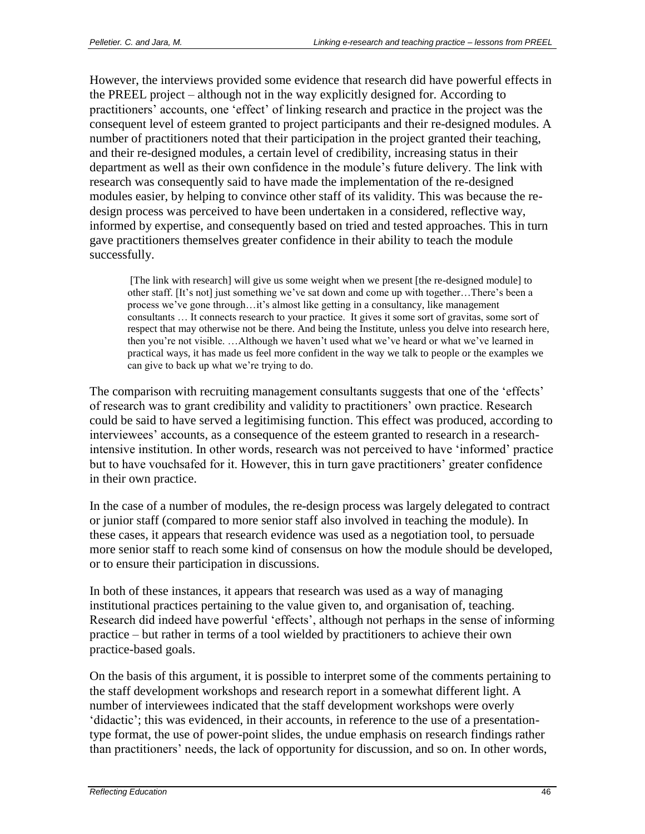However, the interviews provided some evidence that research did have powerful effects in the PREEL project – although not in the way explicitly designed for. According to practitioners' accounts, one 'effect' of linking research and practice in the project was the consequent level of esteem granted to project participants and their re-designed modules. A number of practitioners noted that their participation in the project granted their teaching, and their re-designed modules, a certain level of credibility, increasing status in their department as well as their own confidence in the module's future delivery. The link with research was consequently said to have made the implementation of the re-designed modules easier, by helping to convince other staff of its validity. This was because the redesign process was perceived to have been undertaken in a considered, reflective way, informed by expertise, and consequently based on tried and tested approaches. This in turn gave practitioners themselves greater confidence in their ability to teach the module successfully.

[The link with research] will give us some weight when we present [the re-designed module] to other staff. [It's not] just something we've sat down and come up with together…There's been a process we've gone through…it's almost like getting in a consultancy, like management consultants … It connects research to your practice. It gives it some sort of gravitas, some sort of respect that may otherwise not be there. And being the Institute, unless you delve into research here, then you're not visible. …Although we haven't used what we've heard or what we've learned in practical ways, it has made us feel more confident in the way we talk to people or the examples we can give to back up what we're trying to do.

The comparison with recruiting management consultants suggests that one of the 'effects' of research was to grant credibility and validity to practitioners' own practice. Research could be said to have served a legitimising function. This effect was produced, according to interviewees' accounts, as a consequence of the esteem granted to research in a researchintensive institution. In other words, research was not perceived to have 'informed' practice but to have vouchsafed for it. However, this in turn gave practitioners' greater confidence in their own practice.

In the case of a number of modules, the re-design process was largely delegated to contract or junior staff (compared to more senior staff also involved in teaching the module). In these cases, it appears that research evidence was used as a negotiation tool, to persuade more senior staff to reach some kind of consensus on how the module should be developed, or to ensure their participation in discussions.

In both of these instances, it appears that research was used as a way of managing institutional practices pertaining to the value given to, and organisation of, teaching. Research did indeed have powerful 'effects', although not perhaps in the sense of informing practice – but rather in terms of a tool wielded by practitioners to achieve their own practice-based goals.

On the basis of this argument, it is possible to interpret some of the comments pertaining to the staff development workshops and research report in a somewhat different light. A number of interviewees indicated that the staff development workshops were overly 'didactic'; this was evidenced, in their accounts, in reference to the use of a presentationtype format, the use of power-point slides, the undue emphasis on research findings rather than practitioners' needs, the lack of opportunity for discussion, and so on. In other words,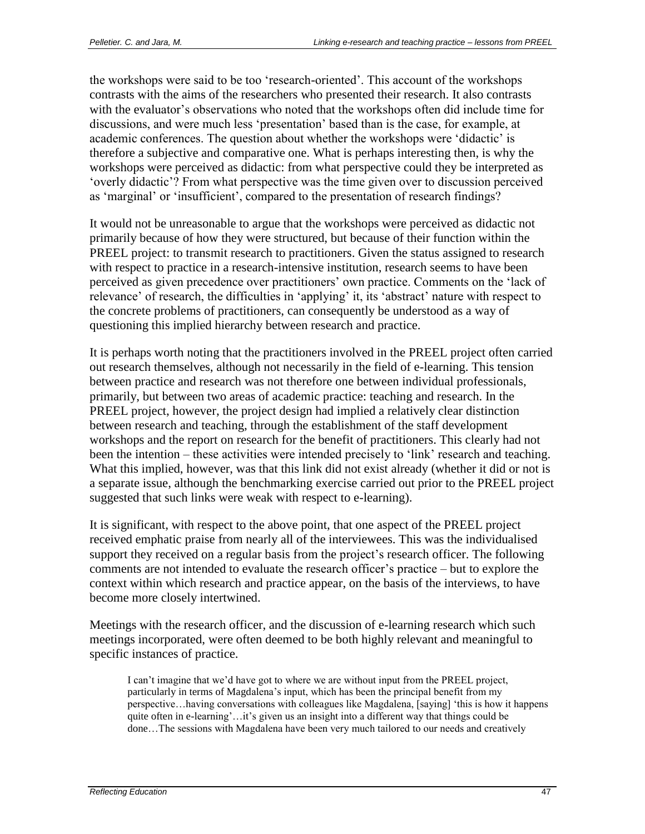the workshops were said to be too 'research-oriented'. This account of the workshops contrasts with the aims of the researchers who presented their research. It also contrasts with the evaluator's observations who noted that the workshops often did include time for discussions, and were much less 'presentation' based than is the case, for example, at academic conferences. The question about whether the workshops were 'didactic' is therefore a subjective and comparative one. What is perhaps interesting then, is why the workshops were perceived as didactic: from what perspective could they be interpreted as 'overly didactic'? From what perspective was the time given over to discussion perceived as 'marginal' or 'insufficient', compared to the presentation of research findings?

It would not be unreasonable to argue that the workshops were perceived as didactic not primarily because of how they were structured, but because of their function within the PREEL project: to transmit research to practitioners. Given the status assigned to research with respect to practice in a research-intensive institution, research seems to have been perceived as given precedence over practitioners' own practice. Comments on the 'lack of relevance' of research, the difficulties in 'applying' it, its 'abstract' nature with respect to the concrete problems of practitioners, can consequently be understood as a way of questioning this implied hierarchy between research and practice.

It is perhaps worth noting that the practitioners involved in the PREEL project often carried out research themselves, although not necessarily in the field of e-learning. This tension between practice and research was not therefore one between individual professionals, primarily, but between two areas of academic practice: teaching and research. In the PREEL project, however, the project design had implied a relatively clear distinction between research and teaching, through the establishment of the staff development workshops and the report on research for the benefit of practitioners. This clearly had not been the intention – these activities were intended precisely to 'link' research and teaching. What this implied, however, was that this link did not exist already (whether it did or not is a separate issue, although the benchmarking exercise carried out prior to the PREEL project suggested that such links were weak with respect to e-learning).

It is significant, with respect to the above point, that one aspect of the PREEL project received emphatic praise from nearly all of the interviewees. This was the individualised support they received on a regular basis from the project's research officer. The following comments are not intended to evaluate the research officer's practice – but to explore the context within which research and practice appear, on the basis of the interviews, to have become more closely intertwined.

Meetings with the research officer, and the discussion of e-learning research which such meetings incorporated, were often deemed to be both highly relevant and meaningful to specific instances of practice.

I can't imagine that we'd have got to where we are without input from the PREEL project, particularly in terms of Magdalena's input, which has been the principal benefit from my perspective…having conversations with colleagues like Magdalena, [saying] 'this is how it happens quite often in e-learning'...it's given us an insight into a different way that things could be done…The sessions with Magdalena have been very much tailored to our needs and creatively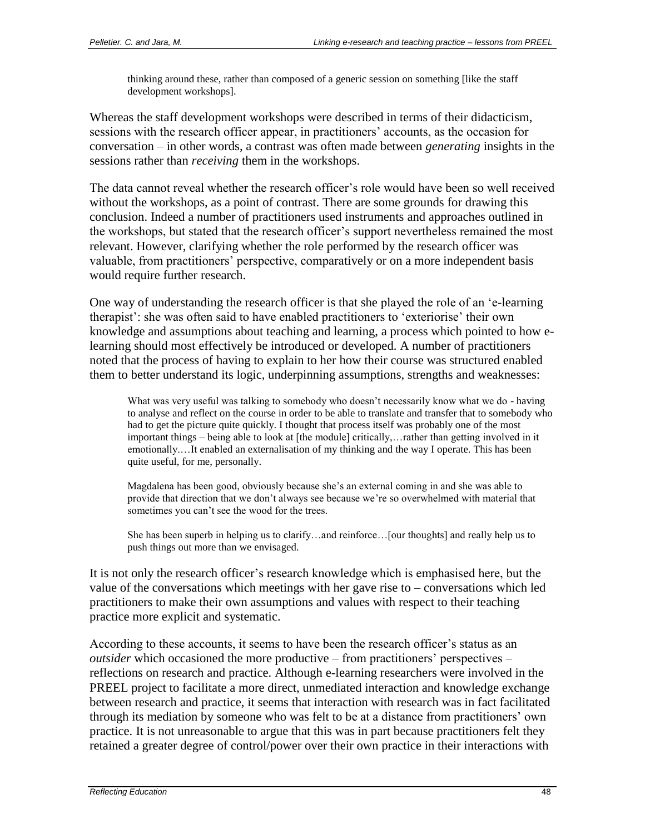thinking around these, rather than composed of a generic session on something [like the staff development workshops].

Whereas the staff development workshops were described in terms of their didacticism, sessions with the research officer appear, in practitioners' accounts, as the occasion for conversation – in other words, a contrast was often made between *generating* insights in the sessions rather than *receiving* them in the workshops.

The data cannot reveal whether the research officer's role would have been so well received without the workshops, as a point of contrast. There are some grounds for drawing this conclusion. Indeed a number of practitioners used instruments and approaches outlined in the workshops, but stated that the research officer's support nevertheless remained the most relevant. However, clarifying whether the role performed by the research officer was valuable, from practitioners' perspective, comparatively or on a more independent basis would require further research.

One way of understanding the research officer is that she played the role of an 'e-learning therapist': she was often said to have enabled practitioners to 'exteriorise' their own knowledge and assumptions about teaching and learning, a process which pointed to how elearning should most effectively be introduced or developed. A number of practitioners noted that the process of having to explain to her how their course was structured enabled them to better understand its logic, underpinning assumptions, strengths and weaknesses:

What was very useful was talking to somebody who doesn't necessarily know what we do - having to analyse and reflect on the course in order to be able to translate and transfer that to somebody who had to get the picture quite quickly. I thought that process itself was probably one of the most important things – being able to look at [the module] critically,…rather than getting involved in it emotionally.…It enabled an externalisation of my thinking and the way I operate. This has been quite useful, for me, personally.

Magdalena has been good, obviously because she's an external coming in and she was able to provide that direction that we don't always see because we're so overwhelmed with material that sometimes you can't see the wood for the trees.

She has been superb in helping us to clarify…and reinforce…[our thoughts] and really help us to push things out more than we envisaged.

It is not only the research officer's research knowledge which is emphasised here, but the value of the conversations which meetings with her gave rise to – conversations which led practitioners to make their own assumptions and values with respect to their teaching practice more explicit and systematic.

According to these accounts, it seems to have been the research officer's status as an *outsider* which occasioned the more productive – from practitioners' perspectives – reflections on research and practice. Although e-learning researchers were involved in the PREEL project to facilitate a more direct, unmediated interaction and knowledge exchange between research and practice, it seems that interaction with research was in fact facilitated through its mediation by someone who was felt to be at a distance from practitioners' own practice. It is not unreasonable to argue that this was in part because practitioners felt they retained a greater degree of control/power over their own practice in their interactions with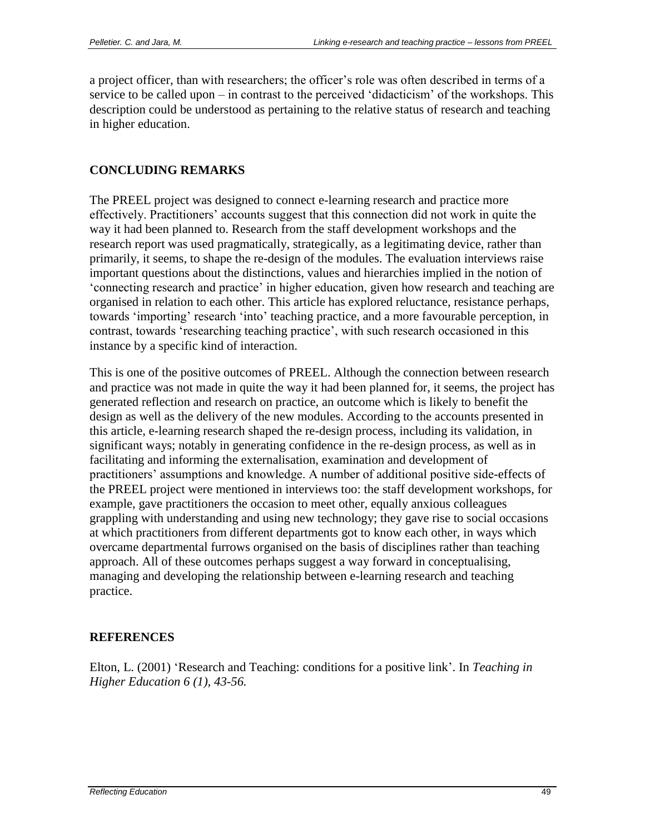a project officer, than with researchers; the officer's role was often described in terms of a service to be called upon – in contrast to the perceived 'didacticism' of the workshops. This description could be understood as pertaining to the relative status of research and teaching in higher education.

## **CONCLUDING REMARKS**

The PREEL project was designed to connect e-learning research and practice more effectively. Practitioners' accounts suggest that this connection did not work in quite the way it had been planned to. Research from the staff development workshops and the research report was used pragmatically, strategically, as a legitimating device, rather than primarily, it seems, to shape the re-design of the modules. The evaluation interviews raise important questions about the distinctions, values and hierarchies implied in the notion of 'connecting research and practice' in higher education, given how research and teaching are organised in relation to each other. This article has explored reluctance, resistance perhaps, towards 'importing' research 'into' teaching practice, and a more favourable perception, in contrast, towards 'researching teaching practice', with such research occasioned in this instance by a specific kind of interaction.

This is one of the positive outcomes of PREEL. Although the connection between research and practice was not made in quite the way it had been planned for, it seems, the project has generated reflection and research on practice, an outcome which is likely to benefit the design as well as the delivery of the new modules. According to the accounts presented in this article, e-learning research shaped the re-design process, including its validation, in significant ways; notably in generating confidence in the re-design process, as well as in facilitating and informing the externalisation, examination and development of practitioners' assumptions and knowledge. A number of additional positive side-effects of the PREEL project were mentioned in interviews too: the staff development workshops, for example, gave practitioners the occasion to meet other, equally anxious colleagues grappling with understanding and using new technology; they gave rise to social occasions at which practitioners from different departments got to know each other, in ways which overcame departmental furrows organised on the basis of disciplines rather than teaching approach. All of these outcomes perhaps suggest a way forward in conceptualising, managing and developing the relationship between e-learning research and teaching practice.

### **REFERENCES**

Elton, L. (2001) 'Research and Teaching: conditions for a positive link'. In *Teaching in Higher Education 6 (1), 43-56.*